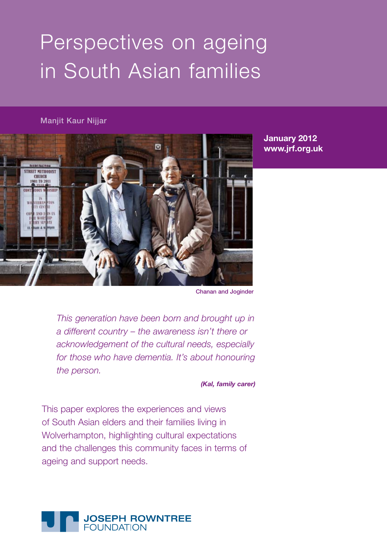# Perspectives on ageing in South Asian families

#### Manjit Kaur Nijjar



**January 2012 www.jrf.org.uk**

Chanan and Joginder

*This generation have been born and brought up in a different country – the awareness isn't there or acknowledgement of the cultural needs, especially for those who have dementia. It's about honouring the person.* 

*(Kal, family carer)* 

This paper explores the experiences and views of South Asian elders and their families living in Wolverhampton, highlighting cultural expectations and the challenges this community faces in terms of ageing and support needs.

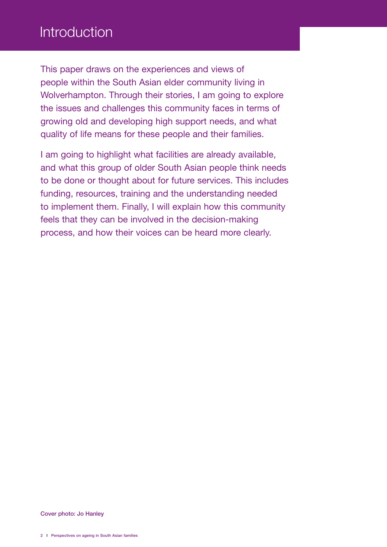## Introduction

This paper draws on the experiences and views of people within the South Asian elder community living in Wolverhampton. Through their stories, I am going to explore the issues and challenges this community faces in terms of growing old and developing high support needs, and what quality of life means for these people and their families.

I am going to highlight what facilities are already available, and what this group of older South Asian people think needs to be done or thought about for future services. This includes funding, resources, training and the understanding needed to implement them. Finally, I will explain how this community feels that they can be involved in the decision-making process, and how their voices can be heard more clearly.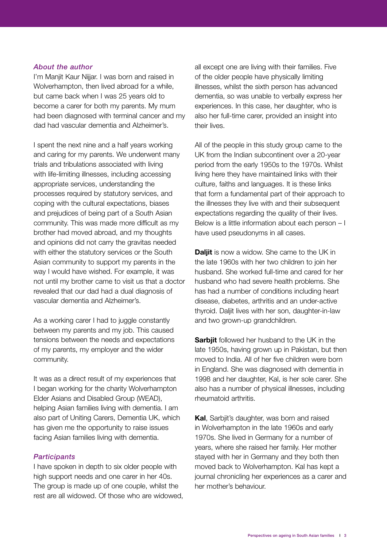#### *About the author*

I'm Manjit Kaur Nijjar. I was born and raised in Wolverhampton, then lived abroad for a while, but came back when I was 25 years old to become a carer for both my parents. My mum had been diagnosed with terminal cancer and my dad had vascular dementia and Alzheimer's.

I spent the next nine and a half years working and caring for my parents. We underwent many trials and tribulations associated with living with life-limiting illnesses, including accessing appropriate services, understanding the processes required by statutory services, and coping with the cultural expectations, biases and prejudices of being part of a South Asian community. This was made more difficult as my brother had moved abroad, and my thoughts and opinions did not carry the gravitas needed with either the statutory services or the South Asian community to support my parents in the way I would have wished. For example, it was not until my brother came to visit us that a doctor revealed that our dad had a dual diagnosis of vascular dementia and Alzheimer's.

As a working carer I had to juggle constantly between my parents and my job. This caused tensions between the needs and expectations of my parents, my employer and the wider community.

It was as a direct result of my experiences that I began working for the charity Wolverhampton Elder Asians and Disabled Group (WEAD), helping Asian families living with dementia. I am also part of Uniting Carers, Dementia UK, which has given me the opportunity to raise issues facing Asian families living with dementia.

#### *Participants*

I have spoken in depth to six older people with high support needs and one carer in her 40s. The group is made up of one couple, whilst the rest are all widowed. Of those who are widowed, all except one are living with their families. Five of the older people have physically limiting illnesses, whilst the sixth person has advanced dementia, so was unable to verbally express her experiences. In this case, her daughter, who is also her full-time carer, provided an insight into their lives.

All of the people in this study group came to the UK from the Indian subcontinent over a 20-year period from the early 1950s to the 1970s. Whilst living here they have maintained links with their culture, faiths and languages. It is these links that form a fundamental part of their approach to the illnesses they live with and their subsequent expectations regarding the quality of their lives. Below is a little information about each person – I have used pseudonyms in all cases.

**Daljit** is now a widow. She came to the UK in the late 1960s with her two children to join her husband. She worked full-time and cared for her husband who had severe health problems. She has had a number of conditions including heart disease, diabetes, arthritis and an under-active thyroid. Daljit lives with her son, daughter-in-law and two grown-up grandchildren.

**Sarbjit** followed her husband to the UK in the late 1950s, having grown up in Pakistan, but then moved to India. All of her five children were born in England. She was diagnosed with dementia in 1998 and her daughter, Kal, is her sole carer. She also has a number of physical illnesses, including rheumatoid arthritis.

**Kal**, Sarbjit's daughter, was born and raised in Wolverhampton in the late 1960s and early 1970s. She lived in Germany for a number of years, where she raised her family. Her mother stayed with her in Germany and they both then moved back to Wolverhampton. Kal has kept a journal chronicling her experiences as a carer and her mother's behaviour.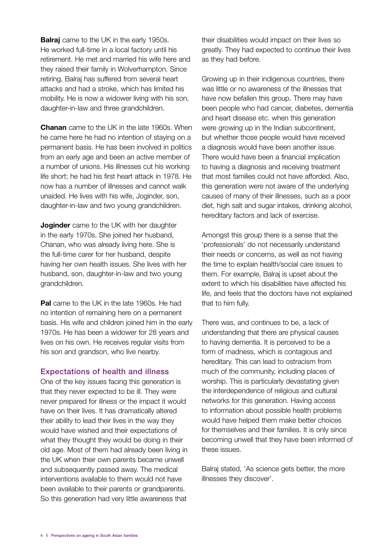**Balraj** came to the UK in the early 1950s. He worked full-time in a local factory until his retirement. He met and married his wife here and they raised their family in Wolverhampton. Since retiring, Balraj has suffered from several heart attacks and had a stroke, which has limited his mobility. He is now a widower living with his son, daughter-in-law and three grandchildren.

**Chanan** came to the UK in the late 1960s. When he came here he had no intention of staying on a permanent basis. He has been involved in politics from an early age and been an active member of a number of unions. His illnesses cut his working life short; he had his first heart attack in 1978. He now has a number of illnesses and cannot walk unaided. He lives with his wife, Joginder, son, daughter-in-law and two young grandchildren.

**Joginder** came to the UK with her daughter in the early 1970s. She joined her husband, Chanan, who was already living here. She is the full-time carer for her husband, despite having her own health issues. She lives with her husband, son, daughter-in-law and two young grandchildren.

**Pal** came to the UK in the late 1960s. He had no intention of remaining here on a permanent basis. His wife and children joined him in the early 1970s. He has been a widower for 28 years and lives on his own. He receives regular visits from his son and grandson, who live nearby.

#### Expectations of health and illness

One of the key issues facing this generation is that they never expected to be ill. They were never prepared for illness or the impact it would have on their lives. It has dramatically altered their ability to lead their lives in the way they would have wished and their expectations of what they thought they would be doing in their old age. Most of them had already been living in the UK when their own parents became unwell and subsequently passed away. The medical interventions available to them would not have been available to their parents or grandparents. So this generation had very little awareness that

their disabilities would impact on their lives so greatly. They had expected to continue their lives as they had before.

Growing up in their indigenous countries, there was little or no awareness of the illnesses that have now befallen this group. There may have been people who had cancer, diabetes, dementia and heart disease etc. when this generation were growing up in the Indian subcontinent. but whether those people would have received a diagnosis would have been another issue. There would have been a financial implication to having a diagnosis and receiving treatment that most families could not have afforded. Also, this generation were not aware of the underlying causes of many of their illnesses, such as a poor diet, high salt and sugar intakes, drinking alcohol, hereditary factors and lack of exercise.

Amongst this group there is a sense that the 'professionals' do not necessarily understand their needs or concerns, as well as not having the time to explain health/social care issues to them. For example, Balraj is upset about the extent to which his disabilities have affected his life, and feels that the doctors have not explained that to him fully.

There was, and continues to be, a lack of understanding that there are physical causes to having dementia. It is perceived to be a form of madness, which is contagious and hereditary. This can lead to ostracism from much of the community, including places of worship. This is particularly devastating given the interdependence of religious and cultural networks for this generation. Having access to information about possible health problems would have helped them make better choices for themselves and their families. It is only since becoming unwell that they have been informed of these issues.

Balraj stated, 'As science gets better, the more illnesses they discover'.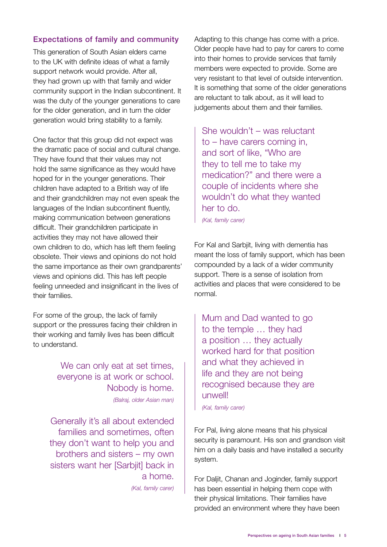#### Expectations of family and community

This generation of South Asian elders came to the UK with definite ideas of what a family support network would provide. After all, they had grown up with that family and wider community support in the Indian subcontinent. It was the duty of the younger generations to care for the older generation, and in turn the older generation would bring stability to a family.

One factor that this group did not expect was the dramatic pace of social and cultural change. They have found that their values may not hold the same significance as they would have hoped for in the younger generations. Their children have adapted to a British way of life and their grandchildren may not even speak the languages of the Indian subcontinent fluently, making communication between generations difficult. Their grandchildren participate in activities they may not have allowed their own children to do, which has left them feeling obsolete. Their views and opinions do not hold the same importance as their own grandparents' views and opinions did. This has left people feeling unneeded and insignificant in the lives of their families.

For some of the group, the lack of family support or the pressures facing their children in their working and family lives has been difficult to understand.

> We can only eat at set times. everyone is at work or school. Nobody is home. *(Balraj, older Asian man)*

Generally it's all about extended families and sometimes, often they don't want to help you and brothers and sisters – my own sisters want her [Sarbiit] back in a home. *(Kal, family carer)* Adapting to this change has come with a price. Older people have had to pay for carers to come into their homes to provide services that family members were expected to provide. Some are very resistant to that level of outside intervention. It is something that some of the older generations are reluctant to talk about, as it will lead to judgements about them and their families.

She wouldn't – was reluctant to – have carers coming in, and sort of like, "Who are they to tell me to take my medication?" and there were a couple of incidents where she wouldn't do what they wanted her to do.

*(Kal, family carer)*

For Kal and Sarbjit, living with dementia has meant the loss of family support, which has been compounded by a lack of a wider community support. There is a sense of isolation from activities and places that were considered to be normal.

Mum and Dad wanted to go to the temple … they had a position … they actually worked hard for that position and what they achieved in life and they are not being recognised because they are unwell!

*(Kal, family carer)*

For Pal, living alone means that his physical security is paramount. His son and grandson visit him on a daily basis and have installed a security system.

For Daljit, Chanan and Joginder, family support has been essential in helping them cope with their physical limitations. Their families have provided an environment where they have been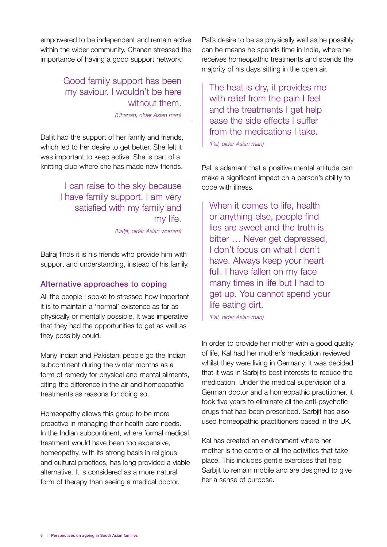empowered to be independent and remain active within the wider community. Chanan stressed the importance of having a good support network:

### Good family support has been my saviour. I wouldn't be here without them.

*(Chanan, older Asian man)*

Daljit had the support of her family and friends, which led to her desire to get better. She felt it was important to keep active. She is part of a knitting club where she has made new friends.

> I can raise to the sky because I have family support. I am very satisfied with my family and my life. *(Daljit, older Asian woman)*

Balraj finds it is his friends who provide him with support and understanding, instead of his family.

#### Alternative approaches to coping

All the people I spoke to stressed how important it is to maintain a 'normal' existence as far as physically or mentally possible. It was imperative that they had the opportunities to get as well as they possibly could.

Many Indian and Pakistani people go the Indian subcontinent during the winter months as a form of remedy for physical and mental ailments, citing the difference in the air and homeopathic treatments as reasons for doing so.

Homeopathy allows this group to be more proactive in managing their health care needs. In the Indian subcontinent, where formal medical treatment would have been too expensive, homeopathy, with its strong basis in religious and cultural practices, has long provided a viable alternative. It is considered as a more natural form of therapy than seeing a medical doctor.

Pal's desire to be as physically well as he possibly can be means he spends time in India, where he receives homeopathic treatments and spends the majority of his days sitting in the open air.

The heat is dry, it provides me with relief from the pain I feel and the treatments I get help ease the side effects I suffer from the medications I take. *(Pal, older Asian man)*

Pal is adamant that a positive mental attitude can make a significant impact on a person's ability to cope with illness.

When it comes to life, health or anything else, people find lies are sweet and the truth is bitter … Never get depressed, I don't focus on what I don't have. Always keep your heart full. I have fallen on my face many times in life but I had to get up. You cannot spend your life eating dirt.

*(Pal, older Asian man)*

In order to provide her mother with a good quality of life, Kal had her mother's medication reviewed whilst they were living in Germany. It was decided that it was in Sarbjit's best interests to reduce the medication. Under the medical supervision of a German doctor and a homeopathic practitioner, it took five years to eliminate all the anti-psychotic drugs that had been prescribed. Sarbjit has also used homeopathic practitioners based in the UK.

Kal has created an environment where her mother is the centre of all the activities that take place. This includes gentle exercises that help Sarbiit to remain mobile and are designed to give her a sense of purpose.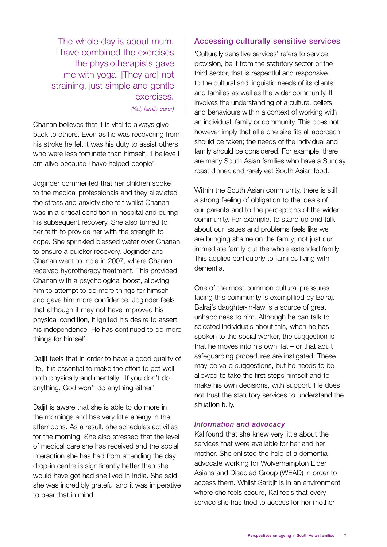The whole day is about mum. I have combined the exercises the physiotherapists gave me with yoga. [They are] not straining, just simple and gentle exercises.

*(Kal, family carer)*

Chanan believes that it is vital to always give back to others. Even as he was recovering from his stroke he felt it was his duty to assist others who were less fortunate than himself: 'I believe I am alive because I have helped people'.

Joginder commented that her children spoke to the medical professionals and they alleviated the stress and anxiety she felt whilst Chanan was in a critical condition in hospital and during his subsequent recovery. She also turned to her faith to provide her with the strength to cope. She sprinkled blessed water over Chanan to ensure a quicker recovery. Joginder and Chanan went to India in 2007, where Chanan received hydrotherapy treatment. This provided Chanan with a psychological boost, allowing him to attempt to do more things for himself and gave him more confidence. Joginder feels that although it may not have improved his physical condition, it ignited his desire to assert his independence. He has continued to do more things for himself.

Daljit feels that in order to have a good quality of life, it is essential to make the effort to get well both physically and mentally: 'If you don't do anything, God won't do anything either'.

Daliit is aware that she is able to do more in the mornings and has very little energy in the afternoons. As a result, she schedules activities for the morning. She also stressed that the level of medical care she has received and the social interaction she has had from attending the day drop-in centre is significantly better than she would have got had she lived in India. She said she was incredibly grateful and it was imperative to bear that in mind.

#### Accessing culturally sensitive services

'Culturally sensitive services' refers to service provision, be it from the statutory sector or the third sector, that is respectful and responsive to the cultural and linguistic needs of its clients and families as well as the wider community. It involves the understanding of a culture, beliefs and behaviours within a context of working with an individual, family or community. This does not however imply that all a one size fits all approach should be taken; the needs of the individual and family should be considered. For example, there are many South Asian families who have a Sunday roast dinner, and rarely eat South Asian food.

Within the South Asian community, there is still a strong feeling of obligation to the ideals of our parents and to the perceptions of the wider community. For example, to stand up and talk about our issues and problems feels like we are bringing shame on the family; not just our immediate family but the whole extended family. This applies particularly to families living with dementia.

One of the most common cultural pressures facing this community is exemplified by Balraj. Balraj's daughter-in-law is a source of great unhappiness to him. Although he can talk to selected individuals about this, when he has spoken to the social worker, the suggestion is that he moves into his own flat – or that adult safeguarding procedures are instigated. These may be valid suggestions, but he needs to be allowed to take the first steps himself and to make his own decisions, with support. He does not trust the statutory services to understand the situation fully.

#### *Information and advocacy*

Kal found that she knew very little about the services that were available for her and her mother. She enlisted the help of a dementia advocate working for Wolverhampton Elder Asians and Disabled Group (WEAD) in order to access them. Whilst Sarbjit is in an environment where she feels secure, Kal feels that every service she has tried to access for her mother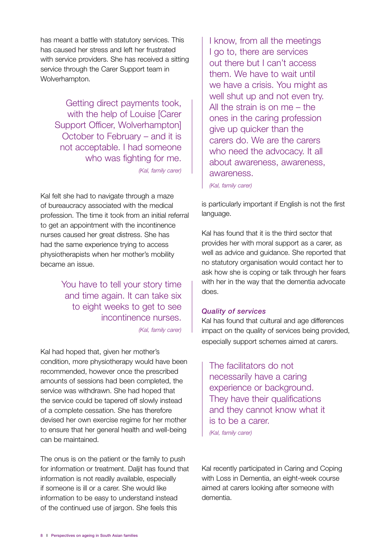has meant a battle with statutory services. This has caused her stress and left her frustrated with service providers. She has received a sitting service through the Carer Support team in Wolverhampton.

Getting direct payments took, with the help of Louise [Carer Support Officer, Wolverhampton] October to February – and it is not acceptable. I had someone who was fighting for me. *(Kal, family carer)*

Kal felt she had to navigate through a maze of bureaucracy associated with the medical profession. The time it took from an initial referral to get an appointment with the incontinence nurses caused her great distress. She has had the same experience trying to access physiotherapists when her mother's mobility became an issue.

> You have to tell your story time and time again. It can take six to eight weeks to get to see incontinence nurses. *(Kal, family carer)*

Kal had hoped that, given her mother's condition, more physiotherapy would have been recommended, however once the prescribed amounts of sessions had been completed, the service was withdrawn. She had hoped that the service could be tapered off slowly instead of a complete cessation. She has therefore devised her own exercise regime for her mother to ensure that her general health and well-being can be maintained.

The onus is on the patient or the family to push for information or treatment. Daljit has found that information is not readily available, especially if someone is ill or a carer. She would like information to be easy to understand instead of the continued use of jargon. She feels this

I know, from all the meetings I go to, there are services out there but I can't access them. We have to wait until we have a crisis. You might as well shut up and not even try. All the strain is on me – the ones in the caring profession give up quicker than the carers do. We are the carers who need the advocacy. It all about awareness, awareness, awareness.

*(Kal, family carer)*

is particularly important if English is not the first language.

Kal has found that it is the third sector that provides her with moral support as a carer, as well as advice and guidance. She reported that no statutory organisation would contact her to ask how she is coping or talk through her fears with her in the way that the dementia advocate does.

#### *Quality of services*

Kal has found that cultural and age differences impact on the quality of services being provided, especially support schemes aimed at carers.

The facilitators do not necessarily have a caring experience or background. They have their qualifications and they cannot know what it is to be a carer.

*(Kal, family carer)*

Kal recently participated in Caring and Coping with Loss in Dementia, an eight-week course aimed at carers looking after someone with dementia.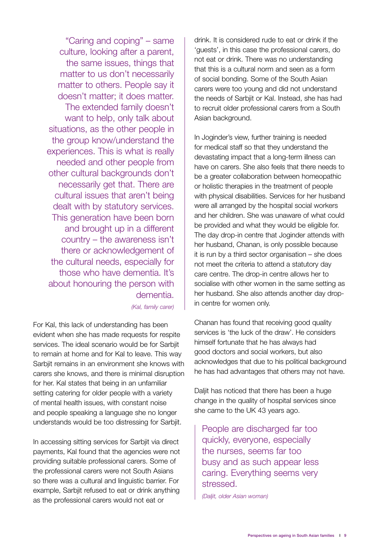"Caring and coping" – same culture, looking after a parent, the same issues, things that matter to us don't necessarily matter to others. People say it doesn't matter; it does matter. The extended family doesn't want to help, only talk about situations, as the other people in the group know/understand the experiences. This is what is really needed and other people from other cultural backgrounds don't necessarily get that. There are cultural issues that aren't being dealt with by statutory services. This generation have been born and brought up in a different country – the awareness isn't there or acknowledgement of the cultural needs, especially for those who have dementia. It's about honouring the person with dementia.

*(Kal, family carer)*

For Kal, this lack of understanding has been evident when she has made requests for respite services. The ideal scenario would be for Sarbjit to remain at home and for Kal to leave. This way Sarbjit remains in an environment she knows with carers she knows, and there is minimal disruption for her. Kal states that being in an unfamiliar setting catering for older people with a variety of mental health issues, with constant noise and people speaking a language she no longer understands would be too distressing for Sarbjit.

In accessing sitting services for Sarbjit via direct payments, Kal found that the agencies were not providing suitable professional carers. Some of the professional carers were not South Asians so there was a cultural and linguistic barrier. For example, Sarbjit refused to eat or drink anything as the professional carers would not eat or

drink. It is considered rude to eat or drink if the 'guests', in this case the professional carers, do not eat or drink. There was no understanding that this is a cultural norm and seen as a form of social bonding. Some of the South Asian carers were too young and did not understand the needs of Sarbiit or Kal. Instead, she has had to recruit older professional carers from a South Asian background.

In Joginder's view, further training is needed for medical staff so that they understand the devastating impact that a long-term illness can have on carers. She also feels that there needs to be a greater collaboration between homeopathic or holistic therapies in the treatment of people with physical disabilities. Services for her husband were all arranged by the hospital social workers and her children. She was unaware of what could be provided and what they would be eligible for. The day drop-in centre that Joginder attends with her husband, Chanan, is only possible because it is run by a third sector organisation – she does not meet the criteria to attend a statutory day care centre. The drop-in centre allows her to socialise with other women in the same setting as her husband. She also attends another day dropin centre for women only.

Chanan has found that receiving good quality services is 'the luck of the draw'. He considers himself fortunate that he has always had good doctors and social workers, but also acknowledges that due to his political background he has had advantages that others may not have.

Daljit has noticed that there has been a huge change in the quality of hospital services since she came to the UK 43 years ago.

People are discharged far too quickly, everyone, especially the nurses, seems far too busy and as such appear less caring. Everything seems very stressed.

*(Daljit, older Asian woman)*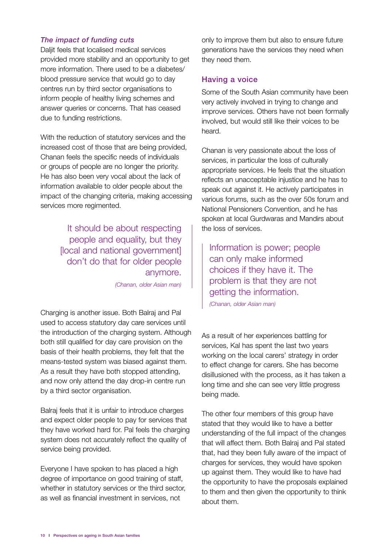#### *The impact of funding cuts*

Daljit feels that localised medical services provided more stability and an opportunity to get more information. There used to be a diabetes/ blood pressure service that would go to day centres run by third sector organisations to inform people of healthy living schemes and answer queries or concerns. That has ceased due to funding restrictions.

With the reduction of statutory services and the increased cost of those that are being provided, Chanan feels the specific needs of individuals or groups of people are no longer the priority. He has also been very vocal about the lack of information available to older people about the impact of the changing criteria, making accessing services more regimented.

> It should be about respecting people and equality, but they [local and national government] don't do that for older people anymore.

*(Chanan, older Asian man)*

Charging is another issue. Both Balraj and Pal used to access statutory day care services until the introduction of the charging system. Although both still qualified for day care provision on the basis of their health problems, they felt that the means-tested system was biased against them. As a result they have both stopped attending, and now only attend the day drop-in centre run by a third sector organisation.

Balraj feels that it is unfair to introduce charges and expect older people to pay for services that they have worked hard for. Pal feels the charging system does not accurately reflect the quality of service being provided.

Everyone I have spoken to has placed a high degree of importance on good training of staff, whether in statutory services or the third sector, as well as financial investment in services, not

only to improve them but also to ensure future generations have the services they need when they need them.

#### Having a voice

Some of the South Asian community have been very actively involved in trying to change and improve services. Others have not been formally involved, but would still like their voices to be heard.

Chanan is very passionate about the loss of services, in particular the loss of culturally appropriate services. He feels that the situation reflects an unacceptable injustice and he has to speak out against it. He actively participates in various forums, such as the over 50s forum and National Pensioners Convention, and he has spoken at local Gurdwaras and Mandirs about the loss of services.

Information is power; people can only make informed choices if they have it. The problem is that they are not getting the information.

*(Chanan, older Asian man)*

As a result of her experiences battling for services, Kal has spent the last two years working on the local carers' strategy in order to effect change for carers. She has become disillusioned with the process, as it has taken a long time and she can see very little progress being made.

The other four members of this group have stated that they would like to have a better understanding of the full impact of the changes that will affect them. Both Balraj and Pal stated that, had they been fully aware of the impact of charges for services, they would have spoken up against them. They would like to have had the opportunity to have the proposals explained to them and then given the opportunity to think about them.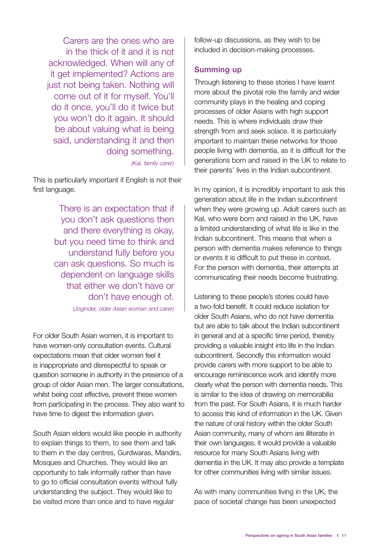Carers are the ones who are in the thick of it and it is not acknowledged. When will any of it get implemented? Actions are just not being taken. Nothing will come out of it for myself. You'll do it once, you'll do it twice but you won't do it again. It should be about valuing what is being said, understanding it and then doing something.

*(Kal, family carer)*

This is particularly important if English is not their first language.

> There is an expectation that if you don't ask questions then and there everything is okay, but you need time to think and understand fully before you can ask questions. So much is dependent on language skills that either we don't have or don't have enough of.

*(Joginder, older Asian woman and carer)*

For older South Asian women, it is important to have women-only consultation events. Cultural expectations mean that older women feel it is inappropriate and disrespectful to speak or question someone in authority in the presence of a group of older Asian men. The larger consultations, whilst being cost effective, prevent these women from participating in the process. They also want to have time to digest the information given.

South Asian elders would like people in authority to explain things to them, to see them and talk to them in the day centres, Gurdwaras, Mandirs, Mosques and Churches. They would like an opportunity to talk informally rather than have to go to official consultation events without fully understanding the subject. They would like to be visited more than once and to have regular

follow-up discussions, as they wish to be included in decision-making processes.

#### Summing up

Through listening to these stories I have learnt more about the pivotal role the family and wider community plays in the healing and coping processes of older Asians with high support needs. This is where individuals draw their strength from and seek solace. It is particularly important to maintain these networks for those people living with dementia, as it is difficult for the generations born and raised in the UK to relate to their parents' lives in the Indian subcontinent.

In my opinion, it is incredibly important to ask this generation about life in the Indian subcontinent when they were growing up. Adult carers such as Kal, who were born and raised in the UK, have a limited understanding of what life is like in the Indian subcontinent. This means that when a person with dementia makes reference to things or events it is difficult to put these in context. For the person with dementia, their attempts at communicating their needs become frustrating.

Listening to these people's stories could have a two-fold benefit. It could reduce isolation for older South Asians, who do not have dementia but are able to talk about the Indian subcontinent in general and at a specific time period, thereby providing a valuable insight into life in the Indian subcontinent. Secondly this information would provide carers with more support to be able to encourage reminiscence work and identify more clearly what the person with dementia needs. This is similar to the idea of drawing on memorabilia from the past. For South Asians, it is much harder to access this kind of information in the UK. Given the nature of oral history within the older South Asian community, many of whom are illiterate in their own languages, it would provide a valuable resource for many South Asians living with dementia in the UK. It may also provide a template for other communities living with similar issues.

As with many communities living in the UK, the pace of societal change has been unexpected